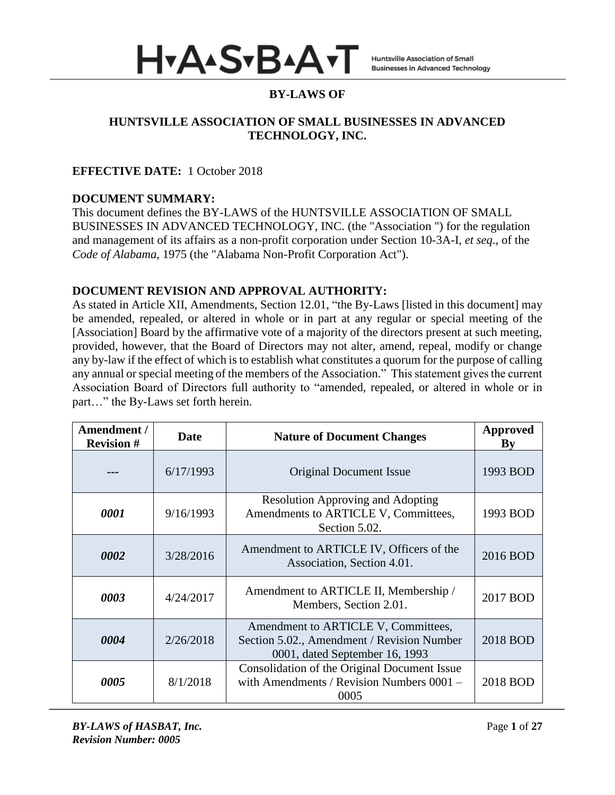# **HUNTSVILLE ASSOCIATION OF SMALL BUSINESSES IN ADVANCED TECHNOLOGY, INC.**

# **EFFECTIVE DATE:** 1 October 2018

# **DOCUMENT SUMMARY:**

This document defines the BY-LAWS of the HUNTSVILLE ASSOCIATION OF SMALL BUSINESSES IN ADVANCED TECHNOLOGY, INC. (the "Association ") for the regulation and management of its affairs as a non-profit corporation under Section 10-3A-I, *et seq*., of the *Code of Alabama*, 1975 (the "Alabama Non-Profit Corporation Act").

# **DOCUMENT REVISION AND APPROVAL AUTHORITY:**

As stated in Article XII, Amendments, Section 12.01, "the By-Laws [listed in this document] may be amended, repealed, or altered in whole or in part at any regular or special meeting of the [Association] Board by the affirmative vote of a majority of the directors present at such meeting, provided, however, that the Board of Directors may not alter, amend, repeal, modify or change any by-law if the effect of which is to establish what constitutes a quorum for the purpose of calling any annual or special meeting of the members of the Association." This statement gives the current Association Board of Directors full authority to "amended, repealed, or altered in whole or in part…" the By-Laws set forth herein.

| Amendment /<br><b>Revision #</b> | Date      | <b>Nature of Document Changes</b>                                                                                   | Approved<br>$\mathbf{By}$ |
|----------------------------------|-----------|---------------------------------------------------------------------------------------------------------------------|---------------------------|
|                                  | 6/17/1993 | <b>Original Document Issue</b>                                                                                      | 1993 BOD                  |
| 0001                             | 9/16/1993 | <b>Resolution Approving and Adopting</b><br>Amendments to ARTICLE V, Committees,<br>Section 5.02.                   | 1993 BOD                  |
| 0002                             | 3/28/2016 | Amendment to ARTICLE IV, Officers of the<br>Association, Section 4.01.                                              | 2016 BOD                  |
| 0003                             | 4/24/2017 | Amendment to ARTICLE II, Membership /<br>Members, Section 2.01.                                                     | 2017 BOD                  |
| 0004                             | 2/26/2018 | Amendment to ARTICLE V, Committees,<br>Section 5.02., Amendment / Revision Number<br>0001, dated September 16, 1993 | 2018 BOD                  |
| 0005                             | 8/1/2018  | Consolidation of the Original Document Issue<br>with Amendments / Revision Numbers $0001 -$<br>0005                 | 2018 BOD                  |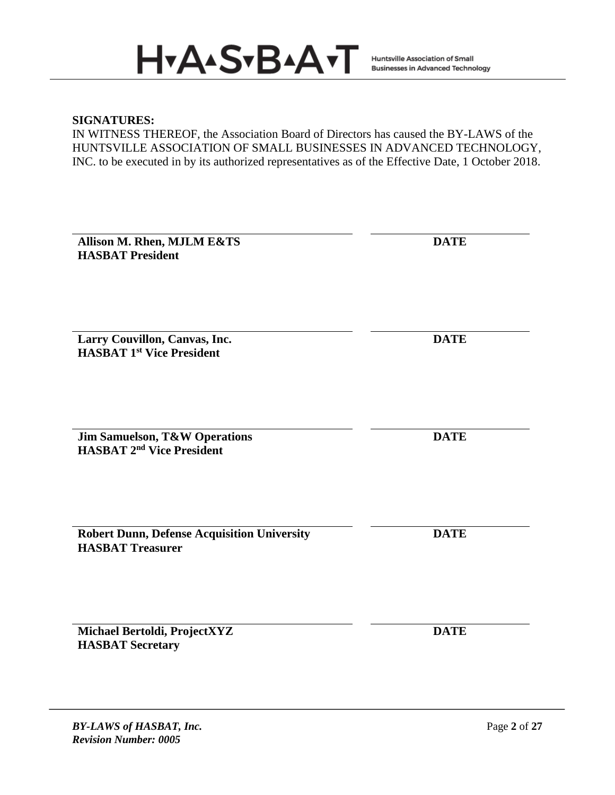# HTA-STB-ATT

#### **SIGNATURES:**

IN WITNESS THEREOF, the Association Board of Directors has caused the BY-LAWS of the HUNTSVILLE ASSOCIATION OF SMALL BUSINESSES IN ADVANCED TECHNOLOGY, INC. to be executed in by its authorized representatives as of the Effective Date, 1 October 2018.

| <b>DATE</b> |  |
|-------------|--|
| <b>DATE</b> |  |
| <b>DATE</b> |  |
| <b>DATE</b> |  |
| <b>DATE</b> |  |
|             |  |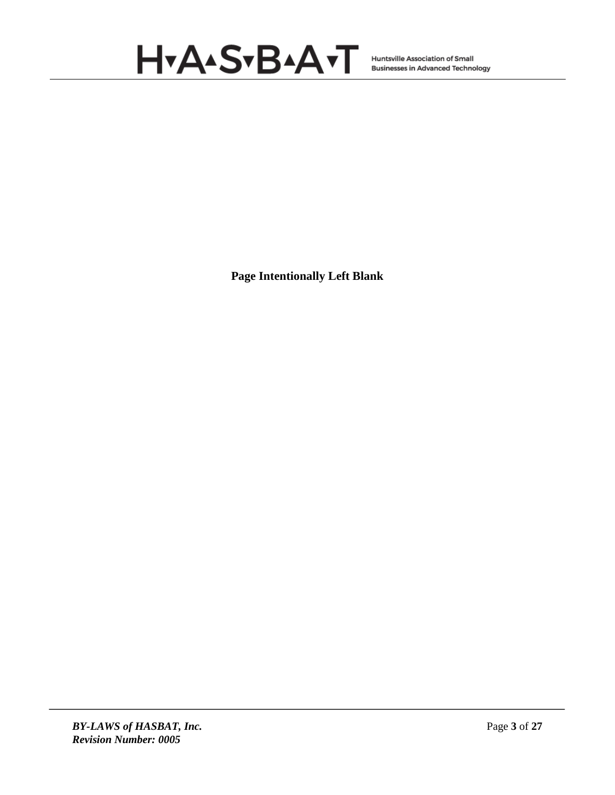# HTA-STB-AT

Huntsville Association of Small<br>Businesses in Advanced Technology

**Page Intentionally Left Blank**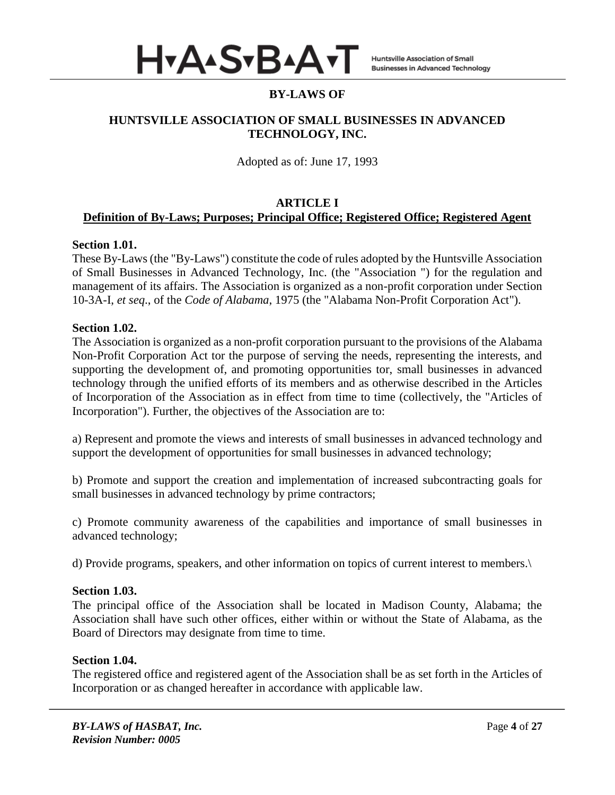# **HUNTSVILLE ASSOCIATION OF SMALL BUSINESSES IN ADVANCED TECHNOLOGY, INC.**

Adopted as of: June 17, 1993

# **ARTICLE I**

# **Definition of By-Laws; Purposes; Principal Office; Registered Office; Registered Agent**

#### **Section 1.01.**

These By-Laws (the "By-Laws") constitute the code of rules adopted by the Huntsville Association of Small Businesses in Advanced Technology, Inc. (the "Association ") for the regulation and management of its affairs. The Association is organized as a non-profit corporation under Section 10-3A-I, *et seq*., of the *Code of Alabama*, 1975 (the "Alabama Non-Profit Corporation Act").

#### **Section 1.02.**

The Association is organized as a non-profit corporation pursuant to the provisions of the Alabama Non-Profit Corporation Act tor the purpose of serving the needs, representing the interests, and supporting the development of, and promoting opportunities tor, small businesses in advanced technology through the unified efforts of its members and as otherwise described in the Articles of Incorporation of the Association as in effect from time to time (collectively, the "Articles of Incorporation"). Further, the objectives of the Association are to:

a) Represent and promote the views and interests of small businesses in advanced technology and support the development of opportunities for small businesses in advanced technology;

b) Promote and support the creation and implementation of increased subcontracting goals for small businesses in advanced technology by prime contractors;

c) Promote community awareness of the capabilities and importance of small businesses in advanced technology;

d) Provide programs, speakers, and other information on topics of current interest to members.\

#### **Section 1.03.**

The principal office of the Association shall be located in Madison County, Alabama; the Association shall have such other offices, either within or without the State of Alabama, as the Board of Directors may designate from time to time.

#### **Section 1.04.**

The registered office and registered agent of the Association shall be as set forth in the Articles of Incorporation or as changed hereafter in accordance with applicable law.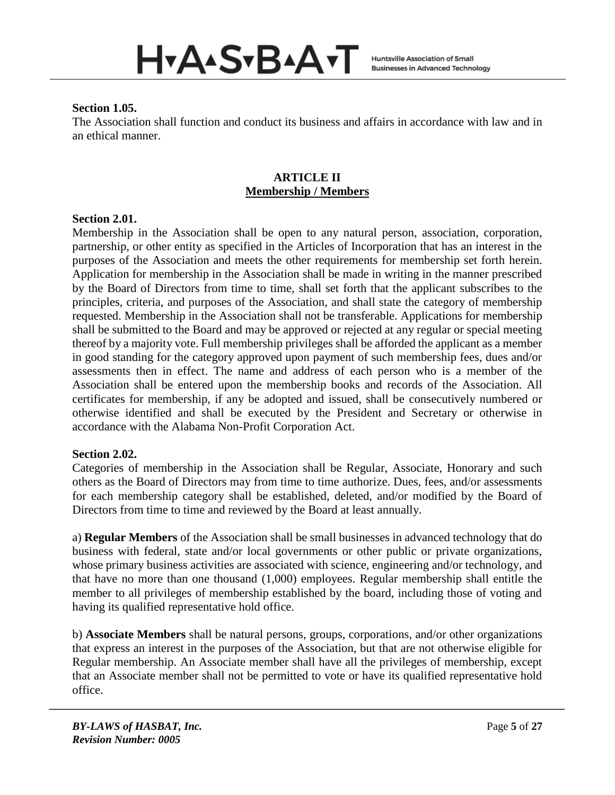# **HTAASTBAAT**

# **Section 1.05.**

The Association shall function and conduct its business and affairs in accordance with law and in an ethical manner.

# **ARTICLE II Membership / Members**

# **Section 2.01.**

Membership in the Association shall be open to any natural person, association, corporation, partnership, or other entity as specified in the Articles of Incorporation that has an interest in the purposes of the Association and meets the other requirements for membership set forth herein. Application for membership in the Association shall be made in writing in the manner prescribed by the Board of Directors from time to time, shall set forth that the applicant subscribes to the principles, criteria, and purposes of the Association, and shall state the category of membership requested. Membership in the Association shall not be transferable. Applications for membership shall be submitted to the Board and may be approved or rejected at any regular or special meeting thereof by a majority vote. Full membership privileges shall be afforded the applicant as a member in good standing for the category approved upon payment of such membership fees, dues and/or assessments then in effect. The name and address of each person who is a member of the Association shall be entered upon the membership books and records of the Association. All certificates for membership, if any be adopted and issued, shall be consecutively numbered or otherwise identified and shall be executed by the President and Secretary or otherwise in accordance with the Alabama Non-Profit Corporation Act.

# **Section 2.02.**

Categories of membership in the Association shall be Regular, Associate, Honorary and such others as the Board of Directors may from time to time authorize. Dues, fees, and/or assessments for each membership category shall be established, deleted, and/or modified by the Board of Directors from time to time and reviewed by the Board at least annually.

a) **Regular Members** of the Association shall be small businesses in advanced technology that do business with federal, state and/or local governments or other public or private organizations, whose primary business activities are associated with science, engineering and/or technology, and that have no more than one thousand (1,000) employees. Regular membership shall entitle the member to all privileges of membership established by the board, including those of voting and having its qualified representative hold office.

b) **Associate Members** shall be natural persons, groups, corporations, and/or other organizations that express an interest in the purposes of the Association, but that are not otherwise eligible for Regular membership. An Associate member shall have all the privileges of membership, except that an Associate member shall not be permitted to vote or have its qualified representative hold office.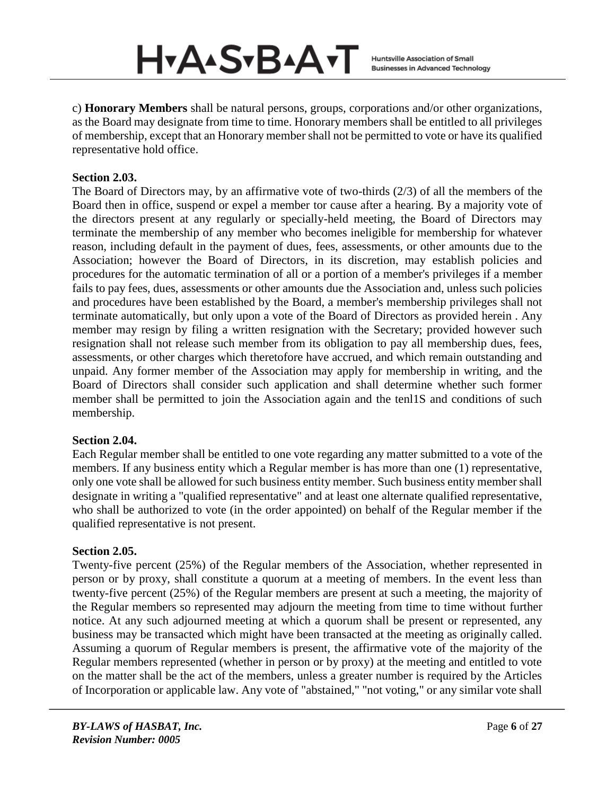c) **Honorary Members** shall be natural persons, groups, corporations and/or other organizations, as the Board may designate from time to time. Honorary members shall be entitled to all privileges of membership, except that an Honorary member shall not be permitted to vote or have its qualified representative hold office.

# **Section 2.03.**

The Board of Directors may, by an affirmative vote of two-thirds (2/3) of all the members of the Board then in office, suspend or expel a member tor cause after a hearing. By a majority vote of the directors present at any regularly or specially-held meeting, the Board of Directors may terminate the membership of any member who becomes ineligible for membership for whatever reason, including default in the payment of dues, fees, assessments, or other amounts due to the Association; however the Board of Directors, in its discretion, may establish policies and procedures for the automatic termination of all or a portion of a member's privileges if a member fails to pay fees, dues, assessments or other amounts due the Association and, unless such policies and procedures have been established by the Board, a member's membership privileges shall not terminate automatically, but only upon a vote of the Board of Directors as provided herein . Any member may resign by filing a written resignation with the Secretary; provided however such resignation shall not release such member from its obligation to pay all membership dues, fees, assessments, or other charges which theretofore have accrued, and which remain outstanding and unpaid. Any former member of the Association may apply for membership in writing, and the Board of Directors shall consider such application and shall determine whether such former member shall be permitted to join the Association again and the tenl1S and conditions of such membership.

# **Section 2.04.**

Each Regular member shall be entitled to one vote regarding any matter submitted to a vote of the members. If any business entity which a Regular member is has more than one (1) representative, only one vote shall be allowed for such business entity member. Such business entity member shall designate in writing a "qualified representative" and at least one alternate qualified representative, who shall be authorized to vote (in the order appointed) on behalf of the Regular member if the qualified representative is not present.

# **Section 2.05.**

Twenty-five percent (25%) of the Regular members of the Association, whether represented in person or by proxy, shall constitute a quorum at a meeting of members. In the event less than twenty-five percent (25%) of the Regular members are present at such a meeting, the majority of the Regular members so represented may adjourn the meeting from time to time without further notice. At any such adjourned meeting at which a quorum shall be present or represented, any business may be transacted which might have been transacted at the meeting as originally called. Assuming a quorum of Regular members is present, the affirmative vote of the majority of the Regular members represented (whether in person or by proxy) at the meeting and entitled to vote on the matter shall be the act of the members, unless a greater number is required by the Articles of Incorporation or applicable law. Any vote of "abstained," "not voting," or any similar vote shall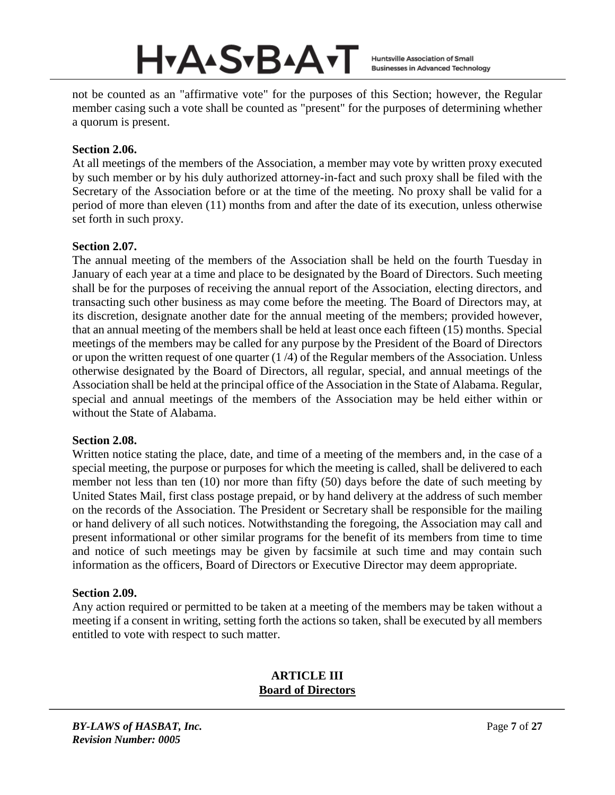# H<sub>Y</sub>AASTBAAT

not be counted as an "affirmative vote" for the purposes of this Section; however, the Regular member casing such a vote shall be counted as "present" for the purposes of determining whether a quorum is present.

# **Section 2.06.**

At all meetings of the members of the Association, a member may vote by written proxy executed by such member or by his duly authorized attorney-in-fact and such proxy shall be filed with the Secretary of the Association before or at the time of the meeting. No proxy shall be valid for a period of more than eleven (11) months from and after the date of its execution, unless otherwise set forth in such proxy.

# **Section 2.07.**

The annual meeting of the members of the Association shall be held on the fourth Tuesday in January of each year at a time and place to be designated by the Board of Directors. Such meeting shall be for the purposes of receiving the annual report of the Association, electing directors, and transacting such other business as may come before the meeting. The Board of Directors may, at its discretion, designate another date for the annual meeting of the members; provided however, that an annual meeting of the members shall be held at least once each fifteen (15) months. Special meetings of the members may be called for any purpose by the President of the Board of Directors or upon the written request of one quarter (1 /4) of the Regular members of the Association. Unless otherwise designated by the Board of Directors, all regular, special, and annual meetings of the Association shall be held at the principal office of the Association in the State of Alabama. Regular, special and annual meetings of the members of the Association may be held either within or without the State of Alabama.

# **Section 2.08.**

Written notice stating the place, date, and time of a meeting of the members and, in the case of a special meeting, the purpose or purposes for which the meeting is called, shall be delivered to each member not less than ten (10) nor more than fifty (50) days before the date of such meeting by United States Mail, first class postage prepaid, or by hand delivery at the address of such member on the records of the Association. The President or Secretary shall be responsible for the mailing or hand delivery of all such notices. Notwithstanding the foregoing, the Association may call and present informational or other similar programs for the benefit of its members from time to time and notice of such meetings may be given by facsimile at such time and may contain such information as the officers, Board of Directors or Executive Director may deem appropriate.

# **Section 2.09.**

Any action required or permitted to be taken at a meeting of the members may be taken without a meeting if a consent in writing, setting forth the actions so taken, shall be executed by all members entitled to vote with respect to such matter.

# **ARTICLE III Board of Directors**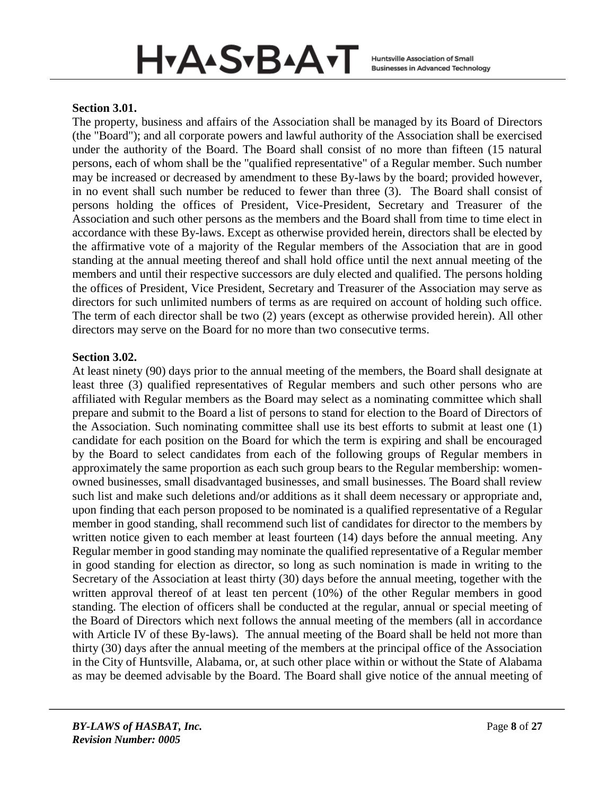# **HTAASTBAAT**

### **Section 3.01.**

The property, business and affairs of the Association shall be managed by its Board of Directors (the "Board"); and all corporate powers and lawful authority of the Association shall be exercised under the authority of the Board. The Board shall consist of no more than fifteen (15 natural persons, each of whom shall be the "qualified representative" of a Regular member. Such number may be increased or decreased by amendment to these By-laws by the board; provided however, in no event shall such number be reduced to fewer than three (3). The Board shall consist of persons holding the offices of President, Vice-President, Secretary and Treasurer of the Association and such other persons as the members and the Board shall from time to time elect in accordance with these By-laws. Except as otherwise provided herein, directors shall be elected by the affirmative vote of a majority of the Regular members of the Association that are in good standing at the annual meeting thereof and shall hold office until the next annual meeting of the members and until their respective successors are duly elected and qualified. The persons holding the offices of President, Vice President, Secretary and Treasurer of the Association may serve as directors for such unlimited numbers of terms as are required on account of holding such office. The term of each director shall be two (2) years (except as otherwise provided herein). All other directors may serve on the Board for no more than two consecutive terms.

#### **Section 3.02.**

At least ninety (90) days prior to the annual meeting of the members, the Board shall designate at least three (3) qualified representatives of Regular members and such other persons who are affiliated with Regular members as the Board may select as a nominating committee which shall prepare and submit to the Board a list of persons to stand for election to the Board of Directors of the Association. Such nominating committee shall use its best efforts to submit at least one (1) candidate for each position on the Board for which the term is expiring and shall be encouraged by the Board to select candidates from each of the following groups of Regular members in approximately the same proportion as each such group bears to the Regular membership: womenowned businesses, small disadvantaged businesses, and small businesses. The Board shall review such list and make such deletions and/or additions as it shall deem necessary or appropriate and, upon finding that each person proposed to be nominated is a qualified representative of a Regular member in good standing, shall recommend such list of candidates for director to the members by written notice given to each member at least fourteen (14) days before the annual meeting. Any Regular member in good standing may nominate the qualified representative of a Regular member in good standing for election as director, so long as such nomination is made in writing to the Secretary of the Association at least thirty (30) days before the annual meeting, together with the written approval thereof of at least ten percent (10%) of the other Regular members in good standing. The election of officers shall be conducted at the regular, annual or special meeting of the Board of Directors which next follows the annual meeting of the members (all in accordance with Article IV of these By-laws). The annual meeting of the Board shall be held not more than thirty (30) days after the annual meeting of the members at the principal office of the Association in the City of Huntsville, Alabama, or, at such other place within or without the State of Alabama as may be deemed advisable by the Board. The Board shall give notice of the annual meeting of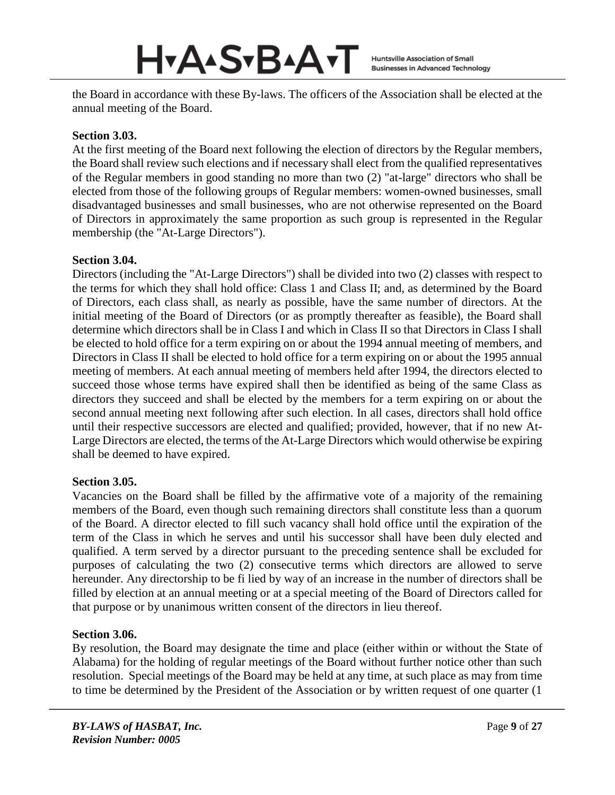the Board in accordance with these By-laws. The officers of the Association shall be elected at the annual meeting of the Board.

# **Section 3.03.**

At the first meeting of the Board next following the election of directors by the Regular members, the Board shall review such elections and if necessary shall elect from the qualified representatives of the Regular members in good standing no more than two (2) "at-large" directors who shall be elected from those of the following groups of Regular members: women-owned businesses, small disadvantaged businesses and small businesses, who are not otherwise represented on the Board of Directors in approximately the same proportion as such group is represented in the Regular membership (the "At-Large Directors").

# **Section 3.04.**

Directors (including the "At-Large Directors") shall be divided into two (2) classes with respect to the terms for which they shall hold office: Class 1 and Class II; and, as determined by the Board of Directors, each class shall, as nearly as possible, have the same number of directors. At the initial meeting of the Board of Directors (or as promptly thereafter as feasible), the Board shall determine which directors shall be in Class I and which in Class II so that Directors in Class I shall be elected to hold office for a term expiring on or about the 1994 annual meeting of members, and Directors in Class II shall be elected to hold office for a term expiring on or about the 1995 annual meeting of members. At each annual meeting of members held after 1994, the directors elected to succeed those whose terms have expired shall then be identified as being of the same Class as directors they succeed and shall be elected by the members for a term expiring on or about the second annual meeting next following after such election. In all cases, directors shall hold office until their respective successors are elected and qualified; provided, however, that if no new At-Large Directors are elected, the terms of the At-Large Directors which would otherwise be expiring shall be deemed to have expired.

# **Section 3.05.**

Vacancies on the Board shall be filled by the affirmative vote of a majority of the remaining members of the Board, even though such remaining directors shall constitute less than a quorum of the Board. A director elected to fill such vacancy shall hold office until the expiration of the term of the Class in which he serves and until his successor shall have been duly elected and qualified. A term served by a director pursuant to the preceding sentence shall be excluded for purposes of calculating the two (2) consecutive terms which directors are allowed to serve hereunder. Any directorship to be fi lied by way of an increase in the number of directors shall be filled by election at an annual meeting or at a special meeting of the Board of Directors called for that purpose or by unanimous written consent of the directors in lieu thereof.

# **Section 3.06.**

By resolution, the Board may designate the time and place (either within or without the State of Alabama) for the holding of regular meetings of the Board without further notice other than such resolution. Special meetings of the Board may be held at any time, at such place as may from time to time be determined by the President of the Association or by written request of one quarter (1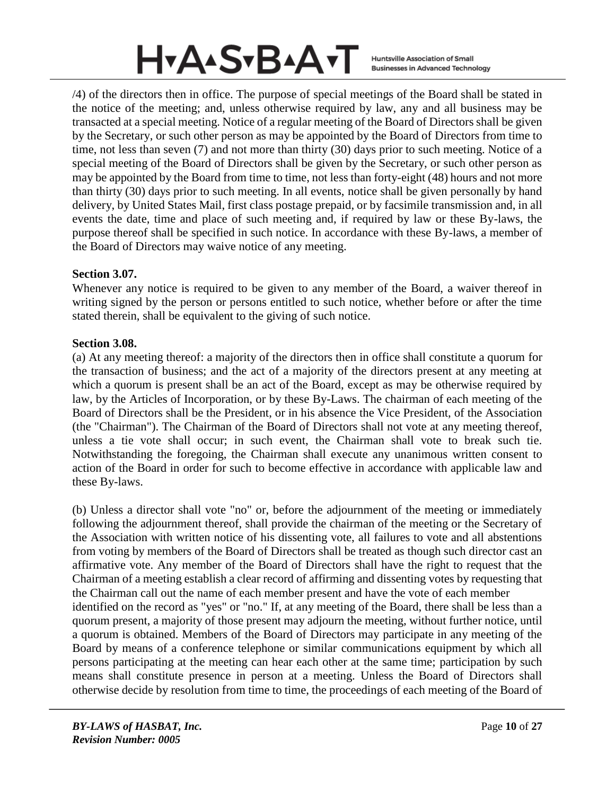/4) of the directors then in office. The purpose of special meetings of the Board shall be stated in the notice of the meeting; and, unless otherwise required by law, any and all business may be transacted at a special meeting. Notice of a regular meeting of the Board of Directors shall be given by the Secretary, or such other person as may be appointed by the Board of Directors from time to time, not less than seven (7) and not more than thirty (30) days prior to such meeting. Notice of a special meeting of the Board of Directors shall be given by the Secretary, or such other person as may be appointed by the Board from time to time, not less than forty-eight (48) hours and not more than thirty (30) days prior to such meeting. In all events, notice shall be given personally by hand delivery, by United States Mail, first class postage prepaid, or by facsimile transmission and, in all events the date, time and place of such meeting and, if required by law or these By-laws, the purpose thereof shall be specified in such notice. In accordance with these By-laws, a member of the Board of Directors may waive notice of any meeting.

# **Section 3.07.**

Whenever any notice is required to be given to any member of the Board, a waiver thereof in writing signed by the person or persons entitled to such notice, whether before or after the time stated therein, shall be equivalent to the giving of such notice.

# **Section 3.08.**

(a) At any meeting thereof: a majority of the directors then in office shall constitute a quorum for the transaction of business; and the act of a majority of the directors present at any meeting at which a quorum is present shall be an act of the Board, except as may be otherwise required by law, by the Articles of Incorporation, or by these By-Laws. The chairman of each meeting of the Board of Directors shall be the President, or in his absence the Vice President, of the Association (the "Chairman"). The Chairman of the Board of Directors shall not vote at any meeting thereof, unless a tie vote shall occur; in such event, the Chairman shall vote to break such tie. Notwithstanding the foregoing, the Chairman shall execute any unanimous written consent to action of the Board in order for such to become effective in accordance with applicable law and these By-laws.

(b) Unless a director shall vote "no" or, before the adjournment of the meeting or immediately following the adjournment thereof, shall provide the chairman of the meeting or the Secretary of the Association with written notice of his dissenting vote, all failures to vote and all abstentions from voting by members of the Board of Directors shall be treated as though such director cast an affirmative vote. Any member of the Board of Directors shall have the right to request that the Chairman of a meeting establish a clear record of affirming and dissenting votes by requesting that the Chairman call out the name of each member present and have the vote of each member identified on the record as "yes" or "no." If, at any meeting of the Board, there shall be less than a quorum present, a majority of those present may adjourn the meeting, without further notice, until a quorum is obtained. Members of the Board of Directors may participate in any meeting of the Board by means of a conference telephone or similar communications equipment by which all persons participating at the meeting can hear each other at the same time; participation by such means shall constitute presence in person at a meeting. Unless the Board of Directors shall otherwise decide by resolution from time to time, the proceedings of each meeting of the Board of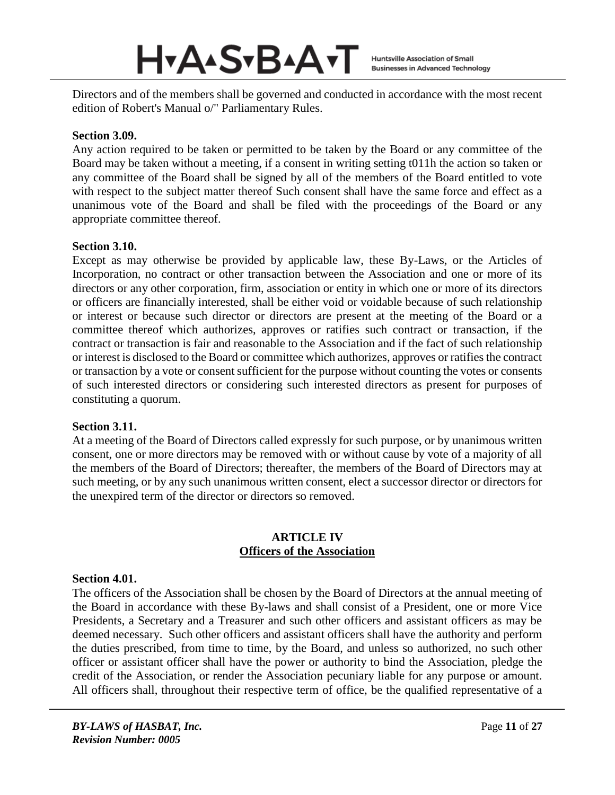Directors and of the members shall be governed and conducted in accordance with the most recent edition of Robert's Manual o/" Parliamentary Rules.

#### **Section 3.09.**

Any action required to be taken or permitted to be taken by the Board or any committee of the Board may be taken without a meeting, if a consent in writing setting t011h the action so taken or any committee of the Board shall be signed by all of the members of the Board entitled to vote with respect to the subject matter thereof Such consent shall have the same force and effect as a unanimous vote of the Board and shall be filed with the proceedings of the Board or any appropriate committee thereof.

#### **Section 3.10.**

Except as may otherwise be provided by applicable law, these By-Laws, or the Articles of Incorporation, no contract or other transaction between the Association and one or more of its directors or any other corporation, firm, association or entity in which one or more of its directors or officers are financially interested, shall be either void or voidable because of such relationship or interest or because such director or directors are present at the meeting of the Board or a committee thereof which authorizes, approves or ratifies such contract or transaction, if the contract or transaction is fair and reasonable to the Association and if the fact of such relationship or interest is disclosed to the Board or committee which authorizes, approves or ratifies the contract or transaction by a vote or consent sufficient for the purpose without counting the votes or consents of such interested directors or considering such interested directors as present for purposes of constituting a quorum.

#### **Section 3.11.**

At a meeting of the Board of Directors called expressly for such purpose, or by unanimous written consent, one or more directors may be removed with or without cause by vote of a majority of all the members of the Board of Directors; thereafter, the members of the Board of Directors may at such meeting, or by any such unanimous written consent, elect a successor director or directors for the unexpired term of the director or directors so removed.

# **ARTICLE IV Officers of the Association**

#### **Section 4.01.**

The officers of the Association shall be chosen by the Board of Directors at the annual meeting of the Board in accordance with these By-laws and shall consist of a President, one or more Vice Presidents, a Secretary and a Treasurer and such other officers and assistant officers as may be deemed necessary. Such other officers and assistant officers shall have the authority and perform the duties prescribed, from time to time, by the Board, and unless so authorized, no such other officer or assistant officer shall have the power or authority to bind the Association, pledge the credit of the Association, or render the Association pecuniary liable for any purpose or amount. All officers shall, throughout their respective term of office, be the qualified representative of a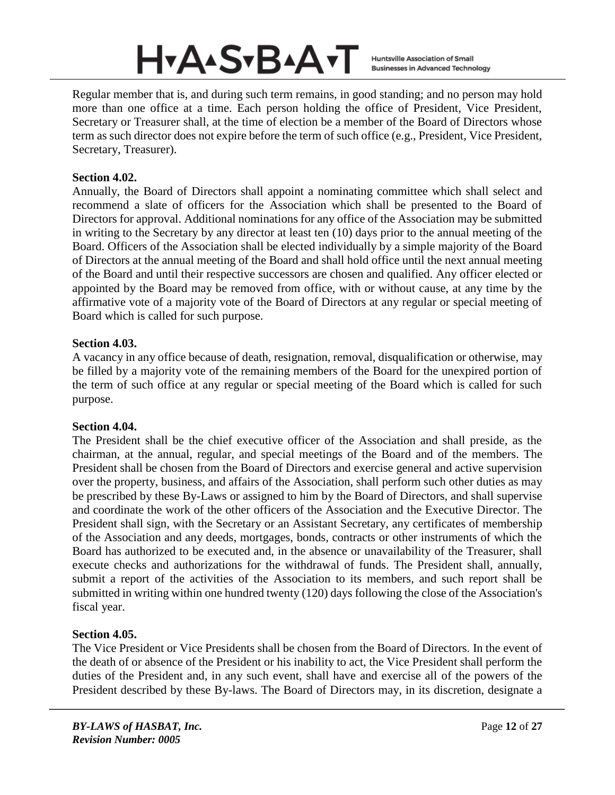Regular member that is, and during such term remains, in good standing; and no person may hold more than one office at a time. Each person holding the office of President, Vice President, Secretary or Treasurer shall, at the time of election be a member of the Board of Directors whose term as such director does not expire before the term of such office (e.g., President, Vice President, Secretary, Treasurer).

# **Section 4.02.**

Annually, the Board of Directors shall appoint a nominating committee which shall select and recommend a slate of officers for the Association which shall be presented to the Board of Directors for approval. Additional nominations for any office of the Association may be submitted in writing to the Secretary by any director at least ten (10) days prior to the annual meeting of the Board. Officers of the Association shall be elected individually by a simple majority of the Board of Directors at the annual meeting of the Board and shall hold office until the next annual meeting of the Board and until their respective successors are chosen and qualified. Any officer elected or appointed by the Board may be removed from office, with or without cause, at any time by the affirmative vote of a majority vote of the Board of Directors at any regular or special meeting of Board which is called for such purpose.

# **Section 4.03.**

A vacancy in any office because of death, resignation, removal, disqualification or otherwise, may be filled by a majority vote of the remaining members of the Board for the unexpired portion of the term of such office at any regular or special meeting of the Board which is called for such purpose.

# **Section 4.04.**

The President shall be the chief executive officer of the Association and shall preside, as the chairman, at the annual, regular, and special meetings of the Board and of the members. The President shall be chosen from the Board of Directors and exercise general and active supervision over the property, business, and affairs of the Association, shall perform such other duties as may be prescribed by these By-Laws or assigned to him by the Board of Directors, and shall supervise and coordinate the work of the other officers of the Association and the Executive Director. The President shall sign, with the Secretary or an Assistant Secretary, any certificates of membership of the Association and any deeds, mortgages, bonds, contracts or other instruments of which the Board has authorized to be executed and, in the absence or unavailability of the Treasurer, shall execute checks and authorizations for the withdrawal of funds. The President shall, annually, submit a report of the activities of the Association to its members, and such report shall be submitted in writing within one hundred twenty (120) days following the close of the Association's fiscal year.

# **Section 4.05.**

The Vice President or Vice Presidents shall be chosen from the Board of Directors. In the event of the death of or absence of the President or his inability to act, the Vice President shall perform the duties of the President and, in any such event, shall have and exercise all of the powers of the President described by these By-laws. The Board of Directors may, in its discretion, designate a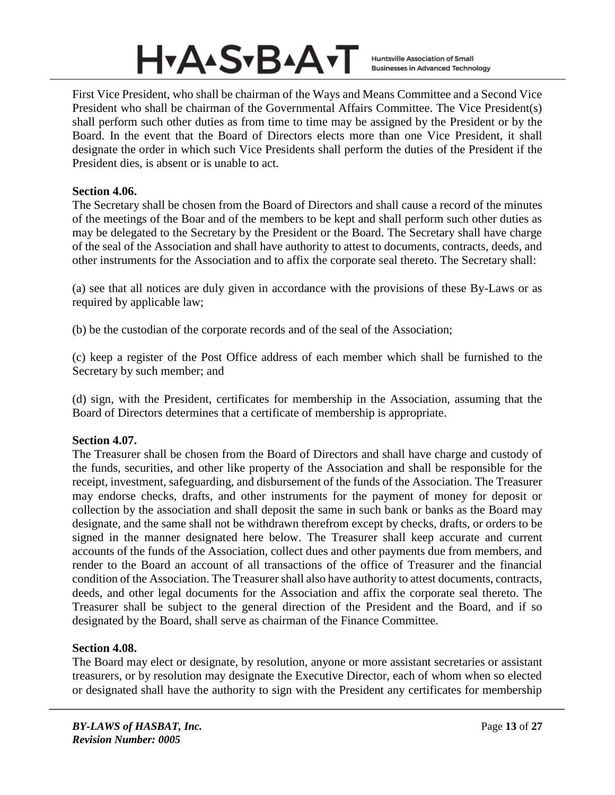First Vice President, who shall be chairman of the Ways and Means Committee and a Second Vice President who shall be chairman of the Governmental Affairs Committee. The Vice President(s) shall perform such other duties as from time to time may be assigned by the President or by the Board. In the event that the Board of Directors elects more than one Vice President, it shall designate the order in which such Vice Presidents shall perform the duties of the President if the President dies, is absent or is unable to act.

# **Section 4.06.**

The Secretary shall be chosen from the Board of Directors and shall cause a record of the minutes of the meetings of the Boar and of the members to be kept and shall perform such other duties as may be delegated to the Secretary by the President or the Board. The Secretary shall have charge of the seal of the Association and shall have authority to attest to documents, contracts, deeds, and other instruments for the Association and to affix the corporate seal thereto. The Secretary shall:

(a) see that all notices are duly given in accordance with the provisions of these By-Laws or as required by applicable law;

(b) be the custodian of the corporate records and of the seal of the Association;

(c) keep a register of the Post Office address of each member which shall be furnished to the Secretary by such member; and

(d) sign, with the President, certificates for membership in the Association, assuming that the Board of Directors determines that a certificate of membership is appropriate.

# **Section 4.07.**

The Treasurer shall be chosen from the Board of Directors and shall have charge and custody of the funds, securities, and other like property of the Association and shall be responsible for the receipt, investment, safeguarding, and disbursement of the funds of the Association. The Treasurer may endorse checks, drafts, and other instruments for the payment of money for deposit or collection by the association and shall deposit the same in such bank or banks as the Board may designate, and the same shall not be withdrawn therefrom except by checks, drafts, or orders to be signed in the manner designated here below. The Treasurer shall keep accurate and current accounts of the funds of the Association, collect dues and other payments due from members, and render to the Board an account of all transactions of the office of Treasurer and the financial condition of the Association. The Treasurer shall also have authority to attest documents, contracts, deeds, and other legal documents for the Association and affix the corporate seal thereto. The Treasurer shall be subject to the general direction of the President and the Board, and if so designated by the Board, shall serve as chairman of the Finance Committee.

# **Section 4.08.**

The Board may elect or designate, by resolution, anyone or more assistant secretaries or assistant treasurers, or by resolution may designate the Executive Director, each of whom when so elected or designated shall have the authority to sign with the President any certificates for membership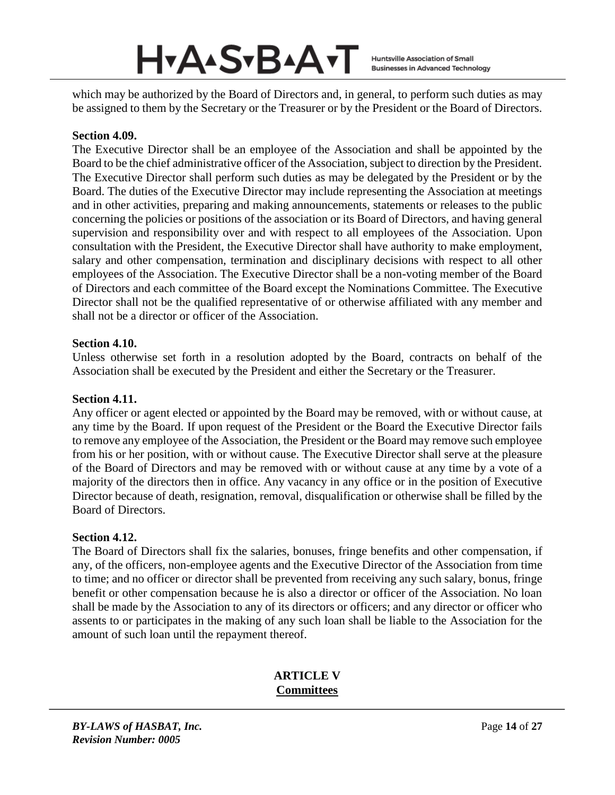# H<sub>Y</sub>AASTBAAT

which may be authorized by the Board of Directors and, in general, to perform such duties as may be assigned to them by the Secretary or the Treasurer or by the President or the Board of Directors.

# **Section 4.09.**

The Executive Director shall be an employee of the Association and shall be appointed by the Board to be the chief administrative officer of the Association, subject to direction by the President. The Executive Director shall perform such duties as may be delegated by the President or by the Board. The duties of the Executive Director may include representing the Association at meetings and in other activities, preparing and making announcements, statements or releases to the public concerning the policies or positions of the association or its Board of Directors, and having general supervision and responsibility over and with respect to all employees of the Association. Upon consultation with the President, the Executive Director shall have authority to make employment, salary and other compensation, termination and disciplinary decisions with respect to all other employees of the Association. The Executive Director shall be a non-voting member of the Board of Directors and each committee of the Board except the Nominations Committee. The Executive Director shall not be the qualified representative of or otherwise affiliated with any member and shall not be a director or officer of the Association.

#### **Section 4.10.**

Unless otherwise set forth in a resolution adopted by the Board, contracts on behalf of the Association shall be executed by the President and either the Secretary or the Treasurer.

#### **Section 4.11.**

Any officer or agent elected or appointed by the Board may be removed, with or without cause, at any time by the Board. If upon request of the President or the Board the Executive Director fails to remove any employee of the Association, the President or the Board may remove such employee from his or her position, with or without cause. The Executive Director shall serve at the pleasure of the Board of Directors and may be removed with or without cause at any time by a vote of a majority of the directors then in office. Any vacancy in any office or in the position of Executive Director because of death, resignation, removal, disqualification or otherwise shall be filled by the Board of Directors.

#### **Section 4.12.**

The Board of Directors shall fix the salaries, bonuses, fringe benefits and other compensation, if any, of the officers, non-employee agents and the Executive Director of the Association from time to time; and no officer or director shall be prevented from receiving any such salary, bonus, fringe benefit or other compensation because he is also a director or officer of the Association. No loan shall be made by the Association to any of its directors or officers; and any director or officer who assents to or participates in the making of any such loan shall be liable to the Association for the amount of such loan until the repayment thereof.

# **ARTICLE V Committees**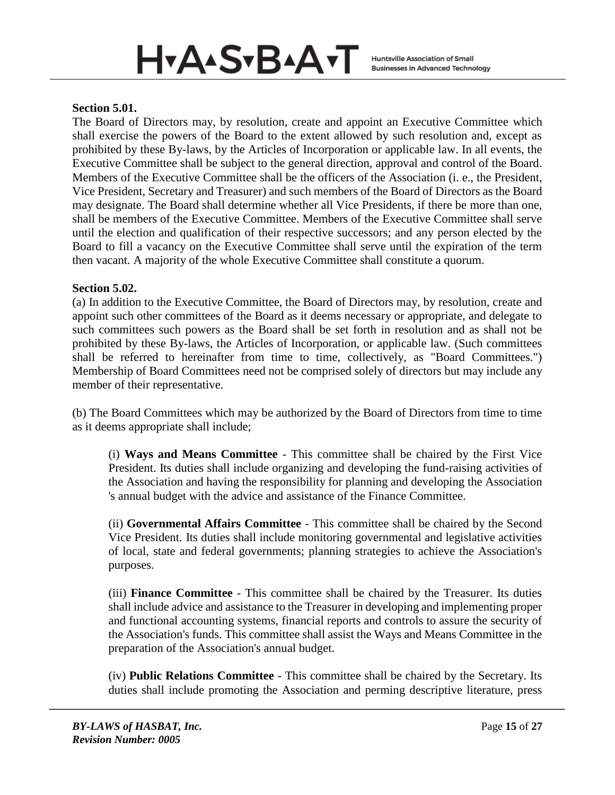# **Section 5.01.**

The Board of Directors may, by resolution, create and appoint an Executive Committee which shall exercise the powers of the Board to the extent allowed by such resolution and, except as prohibited by these By-laws, by the Articles of Incorporation or applicable law. In all events, the Executive Committee shall be subject to the general direction, approval and control of the Board. Members of the Executive Committee shall be the officers of the Association (i. e., the President, Vice President, Secretary and Treasurer) and such members of the Board of Directors as the Board may designate. The Board shall determine whether all Vice Presidents, if there be more than one, shall be members of the Executive Committee. Members of the Executive Committee shall serve until the election and qualification of their respective successors; and any person elected by the Board to fill a vacancy on the Executive Committee shall serve until the expiration of the term then vacant. A majority of the whole Executive Committee shall constitute a quorum.

# **Section 5.02.**

(a) In addition to the Executive Committee, the Board of Directors may, by resolution, create and appoint such other committees of the Board as it deems necessary or appropriate, and delegate to such committees such powers as the Board shall be set forth in resolution and as shall not be prohibited by these By-laws, the Articles of Incorporation, or applicable law. (Such committees shall be referred to hereinafter from time to time, collectively, as "Board Committees.") Membership of Board Committees need not be comprised solely of directors but may include any member of their representative.

(b) The Board Committees which may be authorized by the Board of Directors from time to time as it deems appropriate shall include;

(i) **Ways and Means Committee** - This committee shall be chaired by the First Vice President. Its duties shall include organizing and developing the fund-raising activities of the Association and having the responsibility for planning and developing the Association 's annual budget with the advice and assistance of the Finance Committee.

(ii) **Governmental Affairs Committee** - This committee shall be chaired by the Second Vice President. Its duties shall include monitoring governmental and legislative activities of local, state and federal governments; planning strategies to achieve the Association's purposes.

(iii) **Finance Committee** - This committee shall be chaired by the Treasurer. Its duties shall include advice and assistance to the Treasurer in developing and implementing proper and functional accounting systems, financial reports and controls to assure the security of the Association's funds. This committee shall assist the Ways and Means Committee in the preparation of the Association's annual budget.

(iv) **Public Relations Committee** - This committee shall be chaired by the Secretary. Its duties shall include promoting the Association and perming descriptive literature, press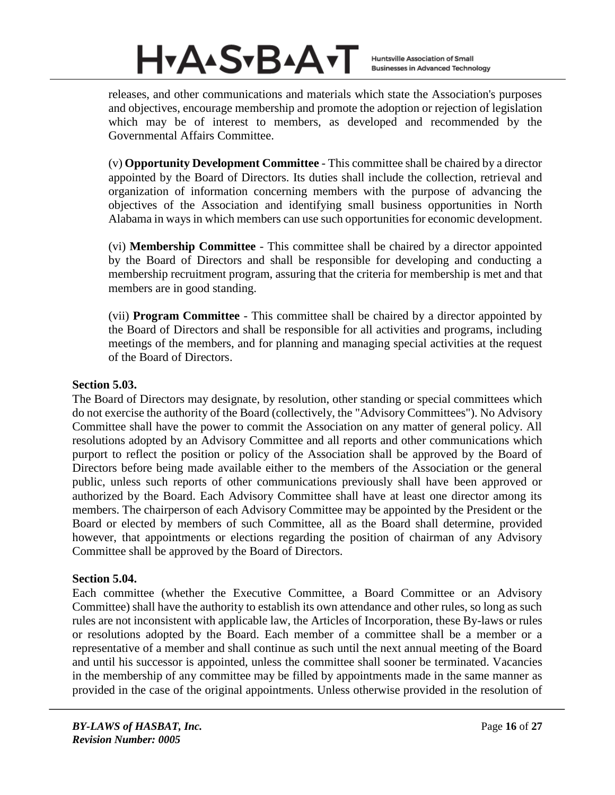# HTAASTBAAT

releases, and other communications and materials which state the Association's purposes and objectives, encourage membership and promote the adoption or rejection of legislation which may be of interest to members, as developed and recommended by the Governmental Affairs Committee.

(v) **Opportunity Development Committee** - This committee shall be chaired by a director appointed by the Board of Directors. Its duties shall include the collection, retrieval and organization of information concerning members with the purpose of advancing the objectives of the Association and identifying small business opportunities in North Alabama in ways in which members can use such opportunities for economic development.

(vi) **Membership Committee** - This committee shall be chaired by a director appointed by the Board of Directors and shall be responsible for developing and conducting a membership recruitment program, assuring that the criteria for membership is met and that members are in good standing.

(vii) **Program Committee** - This committee shall be chaired by a director appointed by the Board of Directors and shall be responsible for all activities and programs, including meetings of the members, and for planning and managing special activities at the request of the Board of Directors.

#### **Section 5.03.**

The Board of Directors may designate, by resolution, other standing or special committees which do not exercise the authority of the Board (collectively, the "Advisory Committees"). No Advisory Committee shall have the power to commit the Association on any matter of general policy. All resolutions adopted by an Advisory Committee and all reports and other communications which purport to reflect the position or policy of the Association shall be approved by the Board of Directors before being made available either to the members of the Association or the general public, unless such reports of other communications previously shall have been approved or authorized by the Board. Each Advisory Committee shall have at least one director among its members. The chairperson of each Advisory Committee may be appointed by the President or the Board or elected by members of such Committee, all as the Board shall determine, provided however, that appointments or elections regarding the position of chairman of any Advisory Committee shall be approved by the Board of Directors.

# **Section 5.04.**

Each committee (whether the Executive Committee, a Board Committee or an Advisory Committee) shall have the authority to establish its own attendance and other rules, so long as such rules are not inconsistent with applicable law, the Articles of Incorporation, these By-laws or rules or resolutions adopted by the Board. Each member of a committee shall be a member or a representative of a member and shall continue as such until the next annual meeting of the Board and until his successor is appointed, unless the committee shall sooner be terminated. Vacancies in the membership of any committee may be filled by appointments made in the same manner as provided in the case of the original appointments. Unless otherwise provided in the resolution of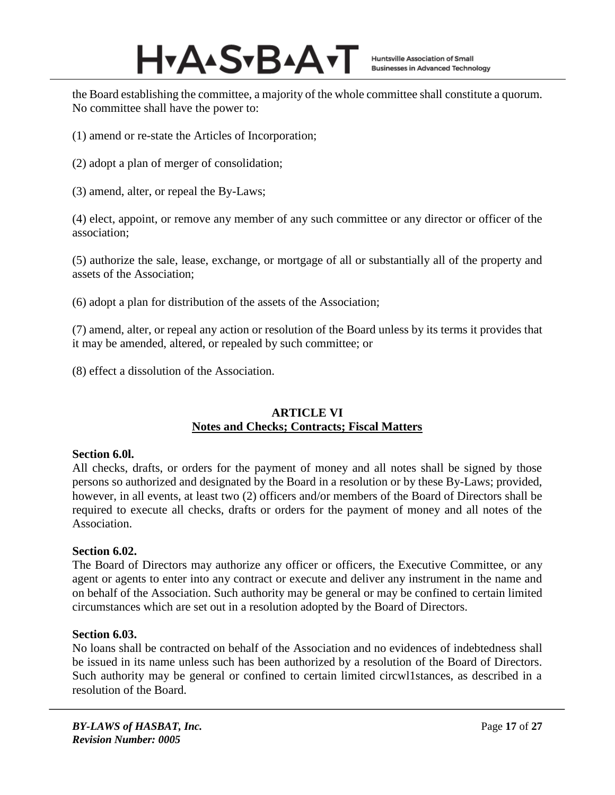# HVAASVBAAVT Huntsville Association of Small

the Board establishing the committee, a majority of the whole committee shall constitute a quorum. No committee shall have the power to:

(1) amend or re-state the Articles of Incorporation;

(2) adopt a plan of merger of consolidation;

(3) amend, alter, or repeal the By-Laws;

(4) elect, appoint, or remove any member of any such committee or any director or officer of the association;

(5) authorize the sale, lease, exchange, or mortgage of all or substantially all of the property and assets of the Association;

(6) adopt a plan for distribution of the assets of the Association;

(7) amend, alter, or repeal any action or resolution of the Board unless by its terms it provides that it may be amended, altered, or repealed by such committee; or

(8) effect a dissolution of the Association.

#### **ARTICLE VI Notes and Checks; Contracts; Fiscal Matters**

# **Section 6.0l.**

All checks, drafts, or orders for the payment of money and all notes shall be signed by those persons so authorized and designated by the Board in a resolution or by these By-Laws; provided, however, in all events, at least two (2) officers and/or members of the Board of Directors shall be required to execute all checks, drafts or orders for the payment of money and all notes of the Association.

# **Section 6.02.**

The Board of Directors may authorize any officer or officers, the Executive Committee, or any agent or agents to enter into any contract or execute and deliver any instrument in the name and on behalf of the Association. Such authority may be general or may be confined to certain limited circumstances which are set out in a resolution adopted by the Board of Directors.

# **Section 6.03.**

No loans shall be contracted on behalf of the Association and no evidences of indebtedness shall be issued in its name unless such has been authorized by a resolution of the Board of Directors. Such authority may be general or confined to certain limited circwl1stances, as described in a resolution of the Board.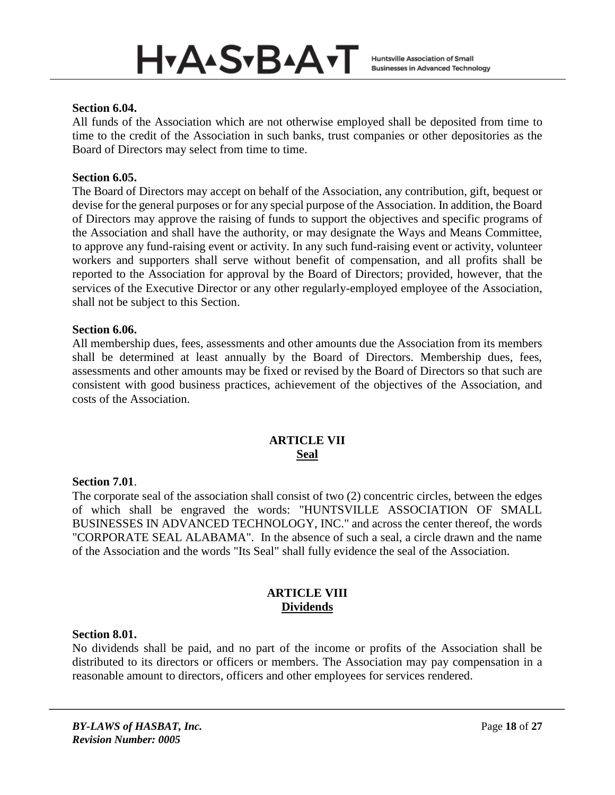#### **Section 6.04.**

All funds of the Association which are not otherwise employed shall be deposited from time to time to the credit of the Association in such banks, trust companies or other depositories as the Board of Directors may select from time to time.

#### **Section 6.05.**

The Board of Directors may accept on behalf of the Association, any contribution, gift, bequest or devise for the general purposes or for any special purpose of the Association. In addition, the Board of Directors may approve the raising of funds to support the objectives and specific programs of the Association and shall have the authority, or may designate the Ways and Means Committee, to approve any fund-raising event or activity. In any such fund-raising event or activity, volunteer workers and supporters shall serve without benefit of compensation, and all profits shall be reported to the Association for approval by the Board of Directors; provided, however, that the services of the Executive Director or any other regularly-employed employee of the Association, shall not be subject to this Section.

#### **Section 6.06.**

All membership dues, fees, assessments and other amounts due the Association from its members shall be determined at least annually by the Board of Directors. Membership dues, fees, assessments and other amounts may be fixed or revised by the Board of Directors so that such are consistent with good business practices, achievement of the objectives of the Association, and costs of the Association.

# **ARTICLE VII Seal**

#### **Section 7.01**.

The corporate seal of the association shall consist of two (2) concentric circles, between the edges of which shall be engraved the words: "HUNTSVILLE ASSOCIATION OF SMALL BUSINESSES IN ADVANCED TECHNOLOGY, INC." and across the center thereof, the words "CORPORATE SEAL ALABAMA". In the absence of such a seal, a circle drawn and the name of the Association and the words "Its Seal" shall fully evidence the seal of the Association.

#### **ARTICLE VIII Dividends**

#### **Section 8.01.**

No dividends shall be paid, and no part of the income or profits of the Association shall be distributed to its directors or officers or members. The Association may pay compensation in a reasonable amount to directors, officers and other employees for services rendered.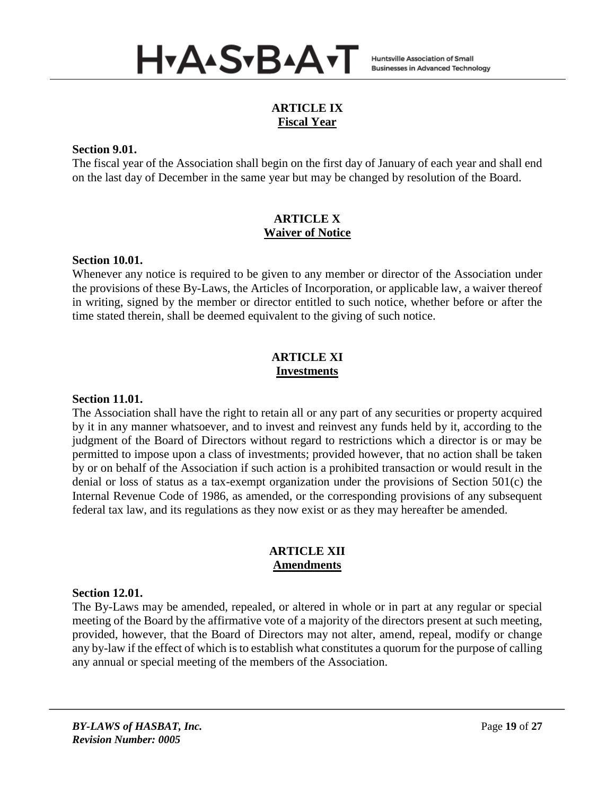# **HTAASTBAAT**

# **ARTICLE IX Fiscal Year**

#### **Section 9.01.**

The fiscal year of the Association shall begin on the first day of January of each year and shall end on the last day of December in the same year but may be changed by resolution of the Board.

# **ARTICLE X Waiver of Notice**

#### **Section 10.01.**

Whenever any notice is required to be given to any member or director of the Association under the provisions of these By-Laws, the Articles of Incorporation, or applicable law, a waiver thereof in writing, signed by the member or director entitled to such notice, whether before or after the time stated therein, shall be deemed equivalent to the giving of such notice.

#### **ARTICLE XI Investments**

#### **Section 11.01.**

The Association shall have the right to retain all or any part of any securities or property acquired by it in any manner whatsoever, and to invest and reinvest any funds held by it, according to the judgment of the Board of Directors without regard to restrictions which a director is or may be permitted to impose upon a class of investments; provided however, that no action shall be taken by or on behalf of the Association if such action is a prohibited transaction or would result in the denial or loss of status as a tax-exempt organization under the provisions of Section 501(c) the Internal Revenue Code of 1986, as amended, or the corresponding provisions of any subsequent federal tax law, and its regulations as they now exist or as they may hereafter be amended.

#### **ARTICLE XII Amendments**

#### **Section 12.01.**

The By-Laws may be amended, repealed, or altered in whole or in part at any regular or special meeting of the Board by the affirmative vote of a majority of the directors present at such meeting, provided, however, that the Board of Directors may not alter, amend, repeal, modify or change any by-law if the effect of which is to establish what constitutes a quorum for the purpose of calling any annual or special meeting of the members of the Association.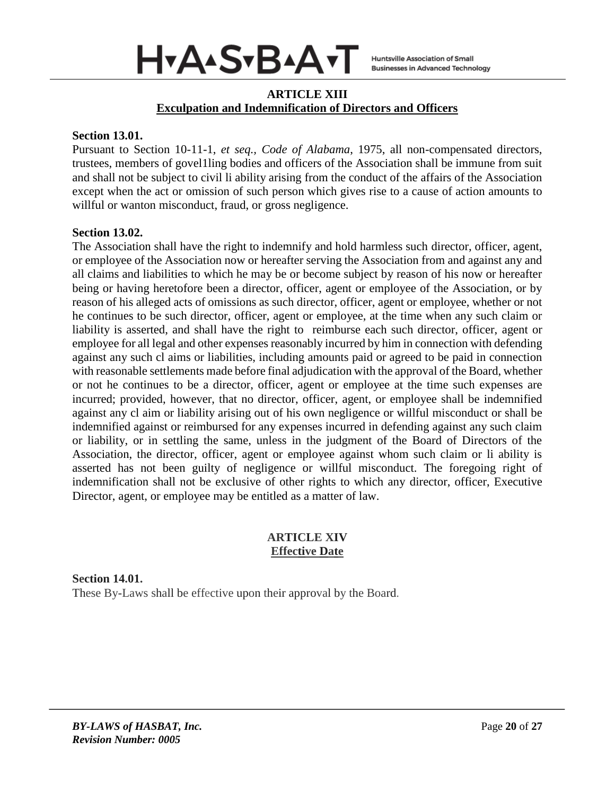# **ARTICLE XIII Exculpation and Indemnification of Directors and Officers**

# **Section 13.01.**

Pursuant to Section 10-11-1, *et seq., Code of Alabama*, 1975, all non-compensated directors, trustees, members of govel1ling bodies and officers of the Association shall be immune from suit and shall not be subject to civil li ability arising from the conduct of the affairs of the Association except when the act or omission of such person which gives rise to a cause of action amounts to willful or wanton misconduct, fraud, or gross negligence.

# **Section 13.02.**

The Association shall have the right to indemnify and hold harmless such director, officer, agent, or employee of the Association now or hereafter serving the Association from and against any and all claims and liabilities to which he may be or become subject by reason of his now or hereafter being or having heretofore been a director, officer, agent or employee of the Association, or by reason of his alleged acts of omissions as such director, officer, agent or employee, whether or not he continues to be such director, officer, agent or employee, at the time when any such claim or liability is asserted, and shall have the right to reimburse each such director, officer, agent or employee for all legal and other expenses reasonably incurred by him in connection with defending against any such cl aims or liabilities, including amounts paid or agreed to be paid in connection with reasonable settlements made before final adjudication with the approval of the Board, whether or not he continues to be a director, officer, agent or employee at the time such expenses are incurred; provided, however, that no director, officer, agent, or employee shall be indemnified against any cl aim or liability arising out of his own negligence or willful misconduct or shall be indemnified against or reimbursed for any expenses incurred in defending against any such claim or liability, or in settling the same, unless in the judgment of the Board of Directors of the Association, the director, officer, agent or employee against whom such claim or li ability is asserted has not been guilty of negligence or willful misconduct. The foregoing right of indemnification shall not be exclusive of other rights to which any director, officer, Executive Director, agent, or employee may be entitled as a matter of law.

# **ARTICLE XIV Effective Date**

**Section 14.01.**  These By-Laws shall be effective upon their approval by the Board.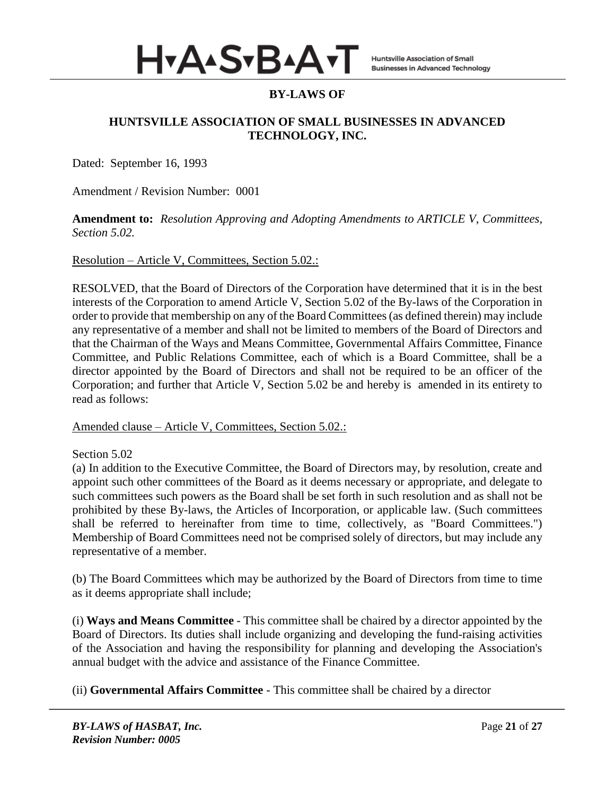

# **HUNTSVILLE ASSOCIATION OF SMALL BUSINESSES IN ADVANCED TECHNOLOGY, INC.**

Dated: September 16, 1993

Amendment / Revision Number: 0001

**Amendment to:** *Resolution Approving and Adopting Amendments to ARTICLE V, Committees, Section 5.02.*

Resolution – Article V, Committees, Section 5.02.:

RESOLVED, that the Board of Directors of the Corporation have determined that it is in the best interests of the Corporation to amend Article V, Section 5.02 of the By-laws of the Corporation in order to provide that membership on any of the Board Committees (as defined therein) may include any representative of a member and shall not be limited to members of the Board of Directors and that the Chairman of the Ways and Means Committee, Governmental Affairs Committee, Finance Committee, and Public Relations Committee, each of which is a Board Committee, shall be a director appointed by the Board of Directors and shall not be required to be an officer of the Corporation; and further that Article V, Section 5.02 be and hereby is amended in its entirety to read as follows:

Amended clause – Article V, Committees, Section 5.02.:

Section 5.02

(a) In addition to the Executive Committee, the Board of Directors may, by resolution, create and appoint such other committees of the Board as it deems necessary or appropriate, and delegate to such committees such powers as the Board shall be set forth in such resolution and as shall not be prohibited by these By-laws, the Articles of Incorporation, or applicable law. (Such committees shall be referred to hereinafter from time to time, collectively, as "Board Committees.") Membership of Board Committees need not be comprised solely of directors, but may include any representative of a member.

(b) The Board Committees which may be authorized by the Board of Directors from time to time as it deems appropriate shall include;

(i) **Ways and Means Committee** - This committee shall be chaired by a director appointed by the Board of Directors. Its duties shall include organizing and developing the fund-raising activities of the Association and having the responsibility for planning and developing the Association's annual budget with the advice and assistance of the Finance Committee.

(ii) **Governmental Affairs Committee** - This committee shall be chaired by a director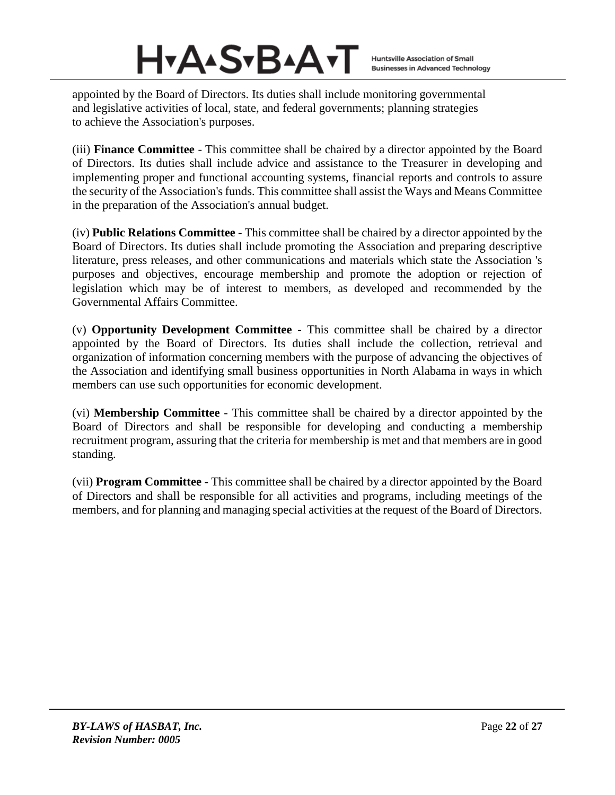# H<sub>Y</sub>AASTBAAT

appointed by the Board of Directors. Its duties shall include monitoring governmental and legislative activities of local, state, and federal governments; planning strategies to achieve the Association's purposes.

(iii) **Finance Committee** - This committee shall be chaired by a director appointed by the Board of Directors. Its duties shall include advice and assistance to the Treasurer in developing and implementing proper and functional accounting systems, financial reports and controls to assure the security of the Association's funds. This committee shall assist the Ways and Means Committee in the preparation of the Association's annual budget.

(iv) **Public Relations Committee** - This committee shall be chaired by a director appointed by the Board of Directors. Its duties shall include promoting the Association and preparing descriptive literature, press releases, and other communications and materials which state the Association 's purposes and objectives, encourage membership and promote the adoption or rejection of legislation which may be of interest to members, as developed and recommended by the Governmental Affairs Committee.

(v) **Opportunity Development Committee** - This committee shall be chaired by a director appointed by the Board of Directors. Its duties shall include the collection, retrieval and organization of information concerning members with the purpose of advancing the objectives of the Association and identifying small business opportunities in North Alabama in ways in which members can use such opportunities for economic development.

(vi) **Membership Committee** - This committee shall be chaired by a director appointed by the Board of Directors and shall be responsible for developing and conducting a membership recruitment program, assuring that the criteria for membership is met and that members are in good standing.

(vii) **Program Committee** - This committee shall be chaired by a director appointed by the Board of Directors and shall be responsible for all activities and programs, including meetings of the members, and for planning and managing special activities at the request of the Board of Directors.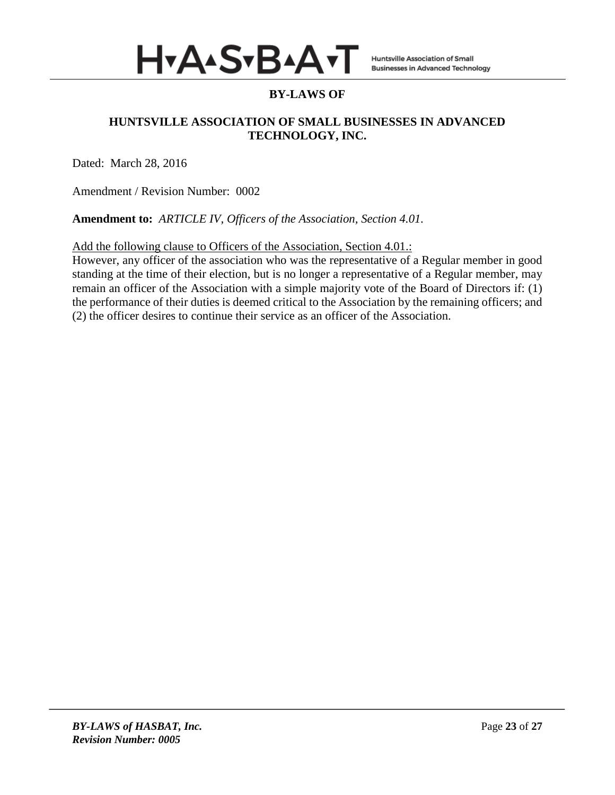

# **HUNTSVILLE ASSOCIATION OF SMALL BUSINESSES IN ADVANCED TECHNOLOGY, INC.**

Dated: March 28, 2016

Amendment / Revision Number: 0002

**Amendment to:** *ARTICLE IV, Officers of the Association, Section 4.01.*

Add the following clause to Officers of the Association, Section 4.01.:

However, any officer of the association who was the representative of a Regular member in good standing at the time of their election, but is no longer a representative of a Regular member, may remain an officer of the Association with a simple majority vote of the Board of Directors if: (1) the performance of their duties is deemed critical to the Association by the remaining officers; and (2) the officer desires to continue their service as an officer of the Association.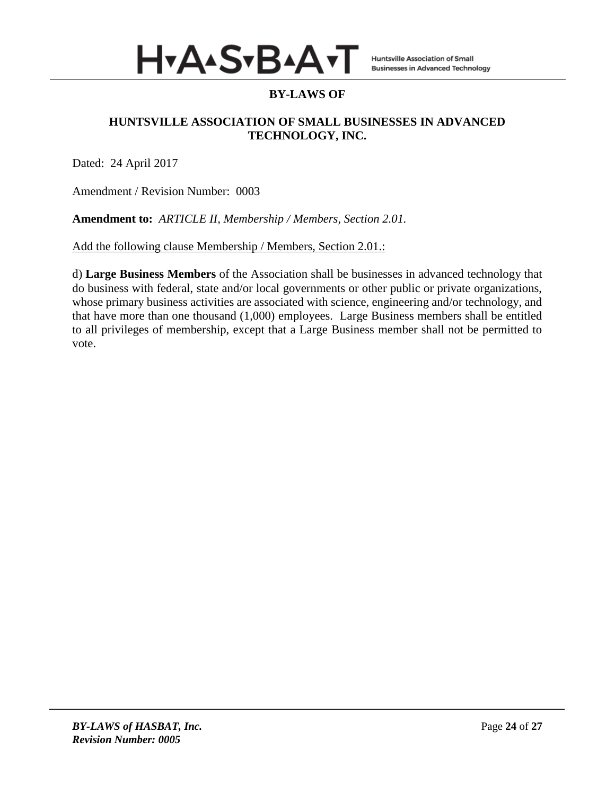

# **HUNTSVILLE ASSOCIATION OF SMALL BUSINESSES IN ADVANCED TECHNOLOGY, INC.**

Dated: 24 April 2017

Amendment / Revision Number: 0003

**Amendment to:** *ARTICLE II, Membership / Members, Section 2.01.*

Add the following clause Membership / Members, Section 2.01.:

d) **Large Business Members** of the Association shall be businesses in advanced technology that do business with federal, state and/or local governments or other public or private organizations, whose primary business activities are associated with science, engineering and/or technology, and that have more than one thousand (1,000) employees. Large Business members shall be entitled to all privileges of membership, except that a Large Business member shall not be permitted to vote.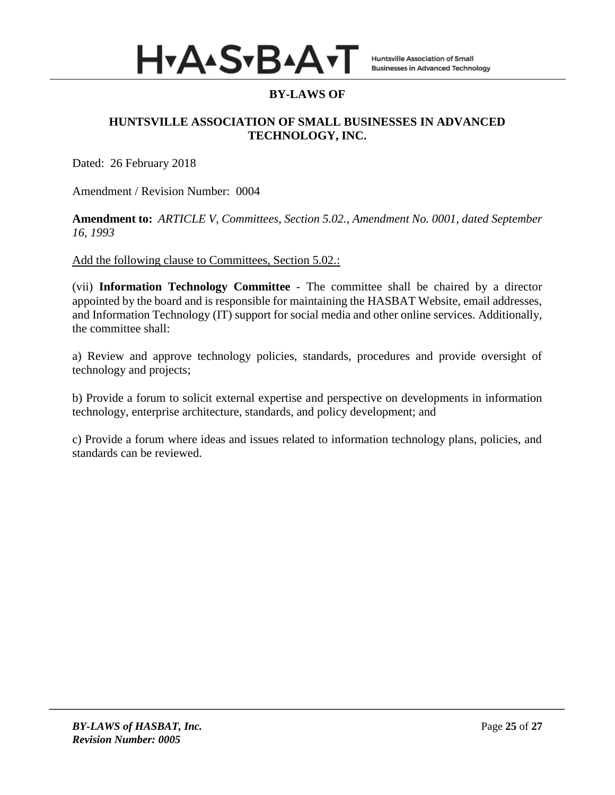

# **HUNTSVILLE ASSOCIATION OF SMALL BUSINESSES IN ADVANCED TECHNOLOGY, INC.**

Dated: 26 February 2018

Amendment / Revision Number: 0004

**Amendment to:** *ARTICLE V, Committees, Section 5.02., Amendment No. 0001, dated September 16, 1993*

Add the following clause to Committees, Section 5.02.:

(vii) **Information Technology Committee** - The committee shall be chaired by a director appointed by the board and is responsible for maintaining the HASBAT Website, email addresses, and Information Technology (IT) support for social media and other online services. Additionally, the committee shall:

a) Review and approve technology policies, standards, procedures and provide oversight of technology and projects;

b) Provide a forum to solicit external expertise and perspective on developments in information technology, enterprise architecture, standards, and policy development; and

c) Provide a forum where ideas and issues related to information technology plans, policies, and standards can be reviewed.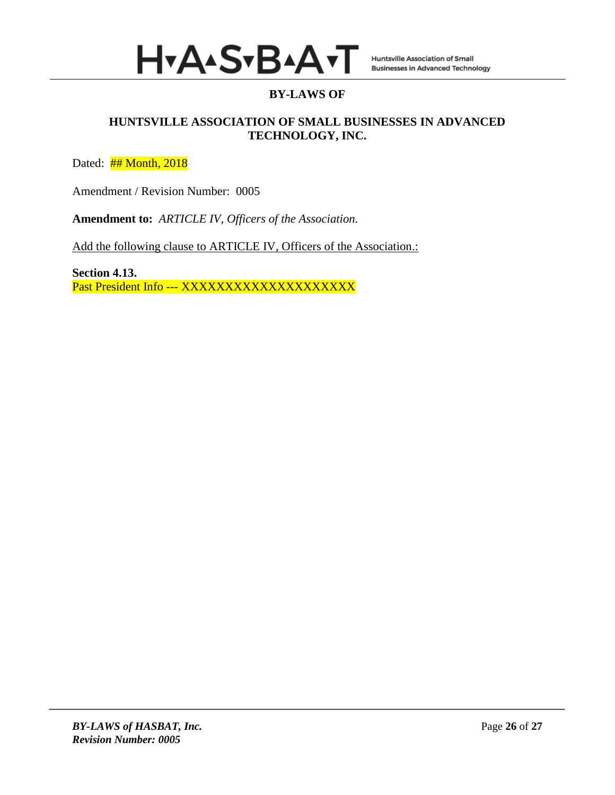

Huntsville Association of Small **Businesses in Advanced Technology** 

# **BY-LAWS OF**

# **HUNTSVILLE ASSOCIATION OF SMALL BUSINESSES IN ADVANCED TECHNOLOGY, INC.**

Dated:  $\frac{#H \text{ Month}, 2018}{=}$ 

Amendment / Revision Number: 0005

**Amendment to:** *ARTICLE IV, Officers of the Association.*

Add the following clause to ARTICLE IV, Officers of the Association.:

**Section 4.13.**  Past President Info --- XXXXXXXXXXXXXXXXXXXX